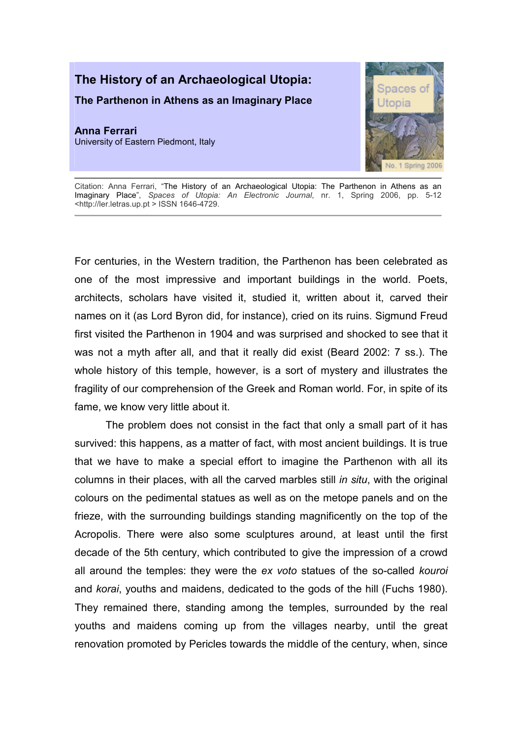## The History of an Archaeological Utopia:

The Parthenon in Athens as an Imaginary Place

Anna Ferrari University of Eastern Piedmont, Italy



Citation: Anna Ferrari, "The History of an Archaeological Utopia: The Parthenon in Athens as an Imaginary Place", Spaces of Utopia: An Electronic Journal, nr. 1, Spring 2006, pp. 5-12 <http://ler.letras.up.pt > ISSN 1646-4729.

For centuries, in the Western tradition, the Parthenon has been celebrated as one of the most impressive and important buildings in the world. Poets, architects, scholars have visited it, studied it, written about it, carved their names on it (as Lord Byron did, for instance), cried on its ruins. Sigmund Freud first visited the Parthenon in 1904 and was surprised and shocked to see that it was not a myth after all, and that it really did exist (Beard 2002: 7 ss.). The whole history of this temple, however, is a sort of mystery and illustrates the fragility of our comprehension of the Greek and Roman world. For, in spite of its fame, we know very little about it.

The problem does not consist in the fact that only a small part of it has survived: this happens, as a matter of fact, with most ancient buildings. It is true that we have to make a special effort to imagine the Parthenon with all its columns in their places, with all the carved marbles still in situ, with the original colours on the pedimental statues as well as on the metope panels and on the frieze, with the surrounding buildings standing magnificently on the top of the Acropolis. There were also some sculptures around, at least until the first decade of the 5th century, which contributed to give the impression of a crowd all around the temples: they were the ex voto statues of the so-called kouroi and korai, youths and maidens, dedicated to the gods of the hill (Fuchs 1980). They remained there, standing among the temples, surrounded by the real youths and maidens coming up from the villages nearby, until the great renovation promoted by Pericles towards the middle of the century, when, since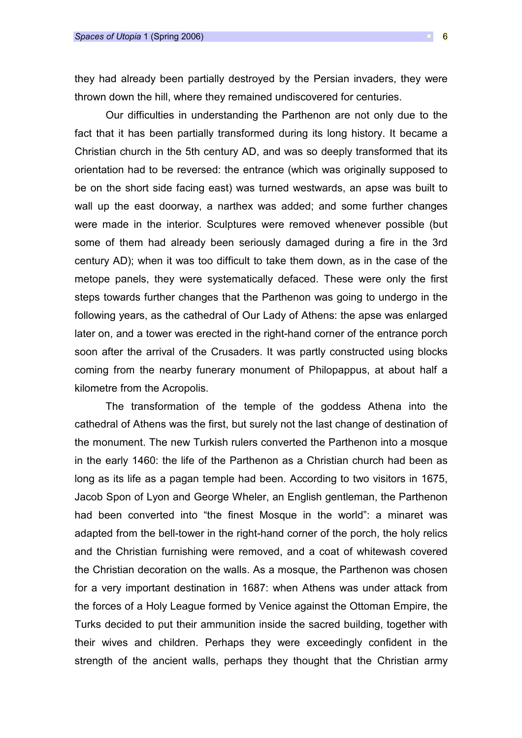they had already been partially destroyed by the Persian invaders, they were thrown down the hill, where they remained undiscovered for centuries.

Our difficulties in understanding the Parthenon are not only due to the fact that it has been partially transformed during its long history. It became a Christian church in the 5th century AD, and was so deeply transformed that its orientation had to be reversed: the entrance (which was originally supposed to be on the short side facing east) was turned westwards, an apse was built to wall up the east doorway, a narthex was added; and some further changes were made in the interior. Sculptures were removed whenever possible (but some of them had already been seriously damaged during a fire in the 3rd century AD); when it was too difficult to take them down, as in the case of the metope panels, they were systematically defaced. These were only the first steps towards further changes that the Parthenon was going to undergo in the following years, as the cathedral of Our Lady of Athens: the apse was enlarged later on, and a tower was erected in the right-hand corner of the entrance porch soon after the arrival of the Crusaders. It was partly constructed using blocks coming from the nearby funerary monument of Philopappus, at about half a kilometre from the Acropolis.

The transformation of the temple of the goddess Athena into the cathedral of Athens was the first, but surely not the last change of destination of the monument. The new Turkish rulers converted the Parthenon into a mosque in the early 1460: the life of the Parthenon as a Christian church had been as long as its life as a pagan temple had been. According to two visitors in 1675, Jacob Spon of Lyon and George Wheler, an English gentleman, the Parthenon had been converted into "the finest Mosque in the world": a minaret was adapted from the bell-tower in the right-hand corner of the porch, the holy relics and the Christian furnishing were removed, and a coat of whitewash covered the Christian decoration on the walls. As a mosque, the Parthenon was chosen for a very important destination in 1687: when Athens was under attack from the forces of a Holy League formed by Venice against the Ottoman Empire, the Turks decided to put their ammunition inside the sacred building, together with their wives and children. Perhaps they were exceedingly confident in the strength of the ancient walls, perhaps they thought that the Christian army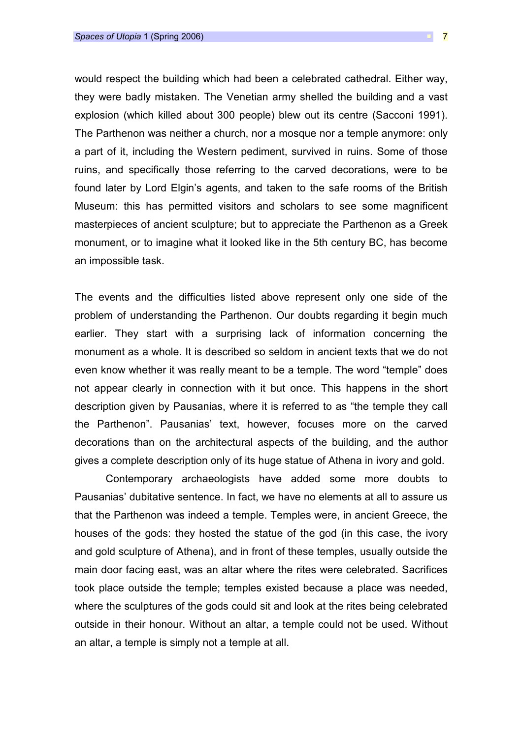would respect the building which had been a celebrated cathedral. Either way, they were badly mistaken. The Venetian army shelled the building and a vast explosion (which killed about 300 people) blew out its centre (Sacconi 1991). The Parthenon was neither a church, nor a mosque nor a temple anymore: only a part of it, including the Western pediment, survived in ruins. Some of those ruins, and specifically those referring to the carved decorations, were to be found later by Lord Elgin's agents, and taken to the safe rooms of the British Museum: this has permitted visitors and scholars to see some magnificent masterpieces of ancient sculpture; but to appreciate the Parthenon as a Greek monument, or to imagine what it looked like in the 5th century BC, has become an impossible task.

The events and the difficulties listed above represent only one side of the problem of understanding the Parthenon. Our doubts regarding it begin much earlier. They start with a surprising lack of information concerning the monument as a whole. It is described so seldom in ancient texts that we do not even know whether it was really meant to be a temple. The word "temple" does not appear clearly in connection with it but once. This happens in the short description given by Pausanias, where it is referred to as "the temple they call the Parthenon". Pausanias' text, however, focuses more on the carved decorations than on the architectural aspects of the building, and the author gives a complete description only of its huge statue of Athena in ivory and gold.

Contemporary archaeologists have added some more doubts to Pausanias' dubitative sentence. In fact, we have no elements at all to assure us that the Parthenon was indeed a temple. Temples were, in ancient Greece, the houses of the gods: they hosted the statue of the god (in this case, the ivory and gold sculpture of Athena), and in front of these temples, usually outside the main door facing east, was an altar where the rites were celebrated. Sacrifices took place outside the temple; temples existed because a place was needed, where the sculptures of the gods could sit and look at the rites being celebrated outside in their honour. Without an altar, a temple could not be used. Without an altar, a temple is simply not a temple at all.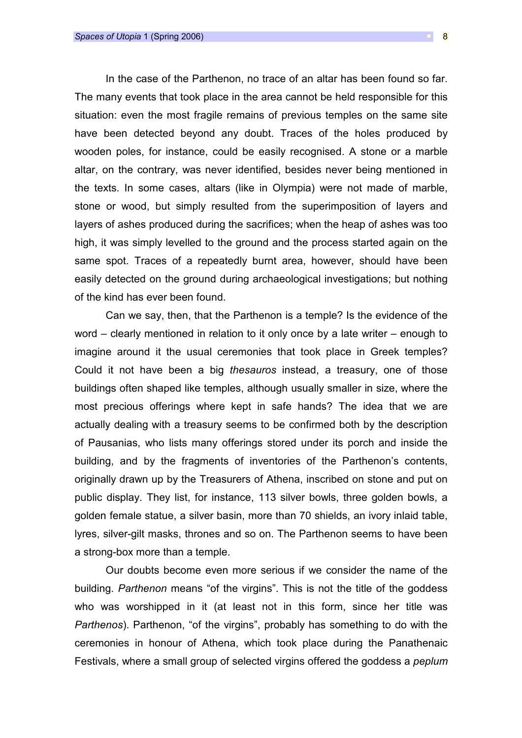In the case of the Parthenon, no trace of an altar has been found so far. The many events that took place in the area cannot be held responsible for this situation: even the most fragile remains of previous temples on the same site have been detected beyond any doubt. Traces of the holes produced by wooden poles, for instance, could be easily recognised. A stone or a marble altar, on the contrary, was never identified, besides never being mentioned in the texts. In some cases, altars (like in Olympia) were not made of marble, stone or wood, but simply resulted from the superimposition of layers and layers of ashes produced during the sacrifices; when the heap of ashes was too high, it was simply levelled to the ground and the process started again on the same spot. Traces of a repeatedly burnt area, however, should have been easily detected on the ground during archaeological investigations; but nothing of the kind has ever been found.

Can we say, then, that the Parthenon is a temple? Is the evidence of the word – clearly mentioned in relation to it only once by a late writer – enough to imagine around it the usual ceremonies that took place in Greek temples? Could it not have been a big thesauros instead, a treasury, one of those buildings often shaped like temples, although usually smaller in size, where the most precious offerings where kept in safe hands? The idea that we are actually dealing with a treasury seems to be confirmed both by the description of Pausanias, who lists many offerings stored under its porch and inside the building, and by the fragments of inventories of the Parthenon's contents, originally drawn up by the Treasurers of Athena, inscribed on stone and put on public display. They list, for instance, 113 silver bowls, three golden bowls, a golden female statue, a silver basin, more than 70 shields, an ivory inlaid table, lyres, silver-gilt masks, thrones and so on. The Parthenon seems to have been a strong-box more than a temple.

Our doubts become even more serious if we consider the name of the building. Parthenon means "of the virgins". This is not the title of the goddess who was worshipped in it (at least not in this form, since her title was Parthenos). Parthenon, "of the virgins", probably has something to do with the ceremonies in honour of Athena, which took place during the Panathenaic Festivals, where a small group of selected virgins offered the goddess a peplum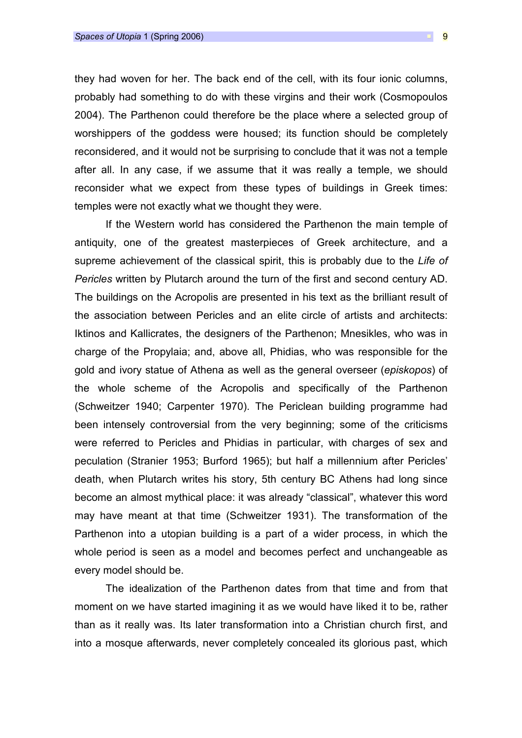they had woven for her. The back end of the cell, with its four ionic columns, probably had something to do with these virgins and their work (Cosmopoulos 2004). The Parthenon could therefore be the place where a selected group of worshippers of the goddess were housed; its function should be completely reconsidered, and it would not be surprising to conclude that it was not a temple after all. In any case, if we assume that it was really a temple, we should reconsider what we expect from these types of buildings in Greek times: temples were not exactly what we thought they were.

If the Western world has considered the Parthenon the main temple of antiquity, one of the greatest masterpieces of Greek architecture, and a supreme achievement of the classical spirit, this is probably due to the Life of Pericles written by Plutarch around the turn of the first and second century AD. The buildings on the Acropolis are presented in his text as the brilliant result of the association between Pericles and an elite circle of artists and architects: Iktinos and Kallicrates, the designers of the Parthenon; Mnesikles, who was in charge of the Propylaia; and, above all, Phidias, who was responsible for the gold and ivory statue of Athena as well as the general overseer (episkopos) of the whole scheme of the Acropolis and specifically of the Parthenon (Schweitzer 1940; Carpenter 1970). The Periclean building programme had been intensely controversial from the very beginning; some of the criticisms were referred to Pericles and Phidias in particular, with charges of sex and peculation (Stranier 1953; Burford 1965); but half a millennium after Pericles' death, when Plutarch writes his story, 5th century BC Athens had long since become an almost mythical place: it was already "classical", whatever this word may have meant at that time (Schweitzer 1931). The transformation of the Parthenon into a utopian building is a part of a wider process, in which the whole period is seen as a model and becomes perfect and unchangeable as every model should be.

The idealization of the Parthenon dates from that time and from that moment on we have started imagining it as we would have liked it to be, rather than as it really was. Its later transformation into a Christian church first, and into a mosque afterwards, never completely concealed its glorious past, which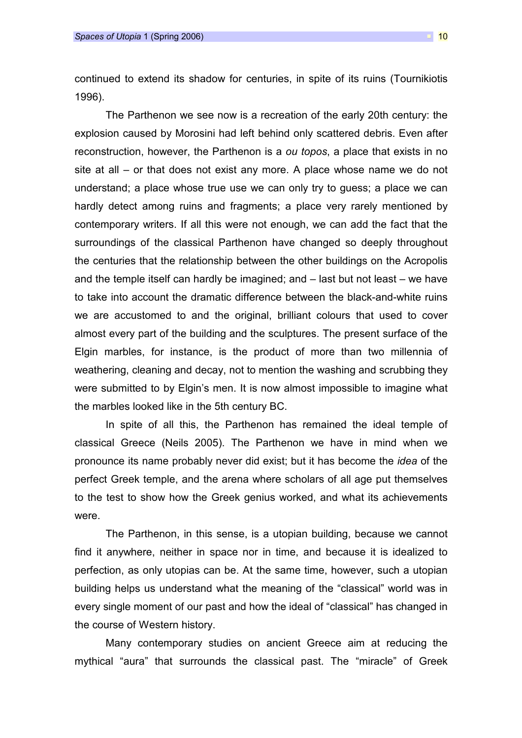continued to extend its shadow for centuries, in spite of its ruins (Tournikiotis 1996).

The Parthenon we see now is a recreation of the early 20th century: the explosion caused by Morosini had left behind only scattered debris. Even after reconstruction, however, the Parthenon is a ou topos, a place that exists in no site at all – or that does not exist any more. A place whose name we do not understand; a place whose true use we can only try to guess; a place we can hardly detect among ruins and fragments; a place very rarely mentioned by contemporary writers. If all this were not enough, we can add the fact that the surroundings of the classical Parthenon have changed so deeply throughout the centuries that the relationship between the other buildings on the Acropolis and the temple itself can hardly be imagined; and – last but not least – we have to take into account the dramatic difference between the black-and-white ruins we are accustomed to and the original, brilliant colours that used to cover almost every part of the building and the sculptures. The present surface of the Elgin marbles, for instance, is the product of more than two millennia of weathering, cleaning and decay, not to mention the washing and scrubbing they were submitted to by Elgin's men. It is now almost impossible to imagine what the marbles looked like in the 5th century BC.

In spite of all this, the Parthenon has remained the ideal temple of classical Greece (Neils 2005). The Parthenon we have in mind when we pronounce its name probably never did exist; but it has become the idea of the perfect Greek temple, and the arena where scholars of all age put themselves to the test to show how the Greek genius worked, and what its achievements were.

The Parthenon, in this sense, is a utopian building, because we cannot find it anywhere, neither in space nor in time, and because it is idealized to perfection, as only utopias can be. At the same time, however, such a utopian building helps us understand what the meaning of the "classical" world was in every single moment of our past and how the ideal of "classical" has changed in the course of Western history.

Many contemporary studies on ancient Greece aim at reducing the mythical "aura" that surrounds the classical past. The "miracle" of Greek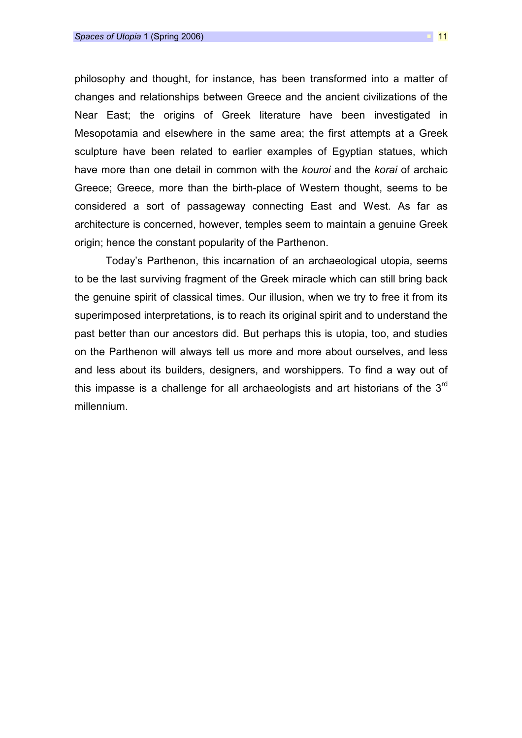philosophy and thought, for instance, has been transformed into a matter of changes and relationships between Greece and the ancient civilizations of the Near East; the origins of Greek literature have been investigated in Mesopotamia and elsewhere in the same area; the first attempts at a Greek sculpture have been related to earlier examples of Egyptian statues, which have more than one detail in common with the kouroi and the korai of archaic Greece; Greece, more than the birth-place of Western thought, seems to be considered a sort of passageway connecting East and West. As far as architecture is concerned, however, temples seem to maintain a genuine Greek origin; hence the constant popularity of the Parthenon.

Today's Parthenon, this incarnation of an archaeological utopia, seems to be the last surviving fragment of the Greek miracle which can still bring back the genuine spirit of classical times. Our illusion, when we try to free it from its superimposed interpretations, is to reach its original spirit and to understand the past better than our ancestors did. But perhaps this is utopia, too, and studies on the Parthenon will always tell us more and more about ourselves, and less and less about its builders, designers, and worshippers. To find a way out of this impasse is a challenge for all archaeologists and art historians of the  $3<sup>rd</sup>$ millennium.